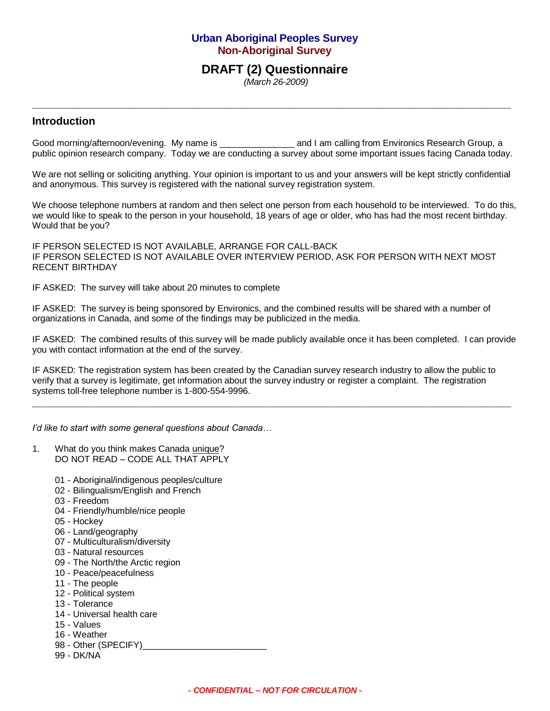# **Urban Aboriginal Peoples Survey Non-Aboriginal Survey**

# **DRAFT (2) Questionnaire**

**\_\_\_\_\_\_\_\_\_\_\_\_\_\_\_\_\_\_\_\_\_\_\_\_\_\_\_\_\_\_\_\_\_\_\_\_\_\_\_\_\_\_\_\_\_\_\_\_\_\_\_\_\_\_\_\_\_\_\_\_\_\_\_\_\_\_\_\_\_\_\_\_\_\_\_\_\_\_\_\_**

*(March 26-2009)*

## **Introduction**

Good morning/afternoon/evening. My name is \_\_\_\_\_\_\_\_\_\_\_\_\_\_\_\_\_ and I am calling from Environics Research Group, a public opinion research company. Today we are conducting a survey about some important issues facing Canada today.

We are not selling or soliciting anything. Your opinion is important to us and your answers will be kept strictly confidential and anonymous. This survey is registered with the national survey registration system.

We choose telephone numbers at random and then select one person from each household to be interviewed. To do this, we would like to speak to the person in your household, 18 years of age or older, who has had the most recent birthday. Would that be you?

IF PERSON SELECTED IS NOT AVAILABLE, ARRANGE FOR CALL-BACK IF PERSON SELECTED IS NOT AVAILABLE OVER INTERVIEW PERIOD, ASK FOR PERSON WITH NEXT MOST RECENT BIRTHDAY

IF ASKED: The survey will take about 20 minutes to complete

IF ASKED: The survey is being sponsored by Environics, and the combined results will be shared with a number of organizations in Canada, and some of the findings may be publicized in the media.

IF ASKED: The combined results of this survey will be made publicly available once it has been completed. I can provide you with contact information at the end of the survey.

IF ASKED: The registration system has been created by the Canadian survey research industry to allow the public to verify that a survey is legitimate, get information about the survey industry or register a complaint. The registration systems toll-free telephone number is 1-800-554-9996.

**\_\_\_\_\_\_\_\_\_\_\_\_\_\_\_\_\_\_\_\_\_\_\_\_\_\_\_\_\_\_\_\_\_\_\_\_\_\_\_\_\_\_\_\_\_\_\_\_\_\_\_\_\_\_\_\_\_\_\_\_\_\_\_\_\_\_\_\_\_\_\_\_\_\_\_\_\_\_\_\_**

*I'd like to start with some general questions about Canada…*

- 1. What do you think makes Canada unique? DO NOT READ – CODE ALL THAT APPLY
	- 01 Aboriginal/indigenous peoples/culture
	- 02 Bilingualism/English and French
	- 03 Freedom
	- 04 Friendly/humble/nice people
	- 05 Hockey
	- 06 Land/geography
	- 07 Multiculturalism/diversity
	- 03 Natural resources
	- 09 The North/the Arctic region
	- 10 Peace/peacefulness
	- 11 The people
	- 12 Political system
	- 13 Tolerance
	- 14 Universal health care
	- 15 Values
	- 16 Weather
	- 98 Other (SPECIFY)
	- 99 DK/NA

*- CONFIDENTIAL – NOT FOR CIRCULATION -*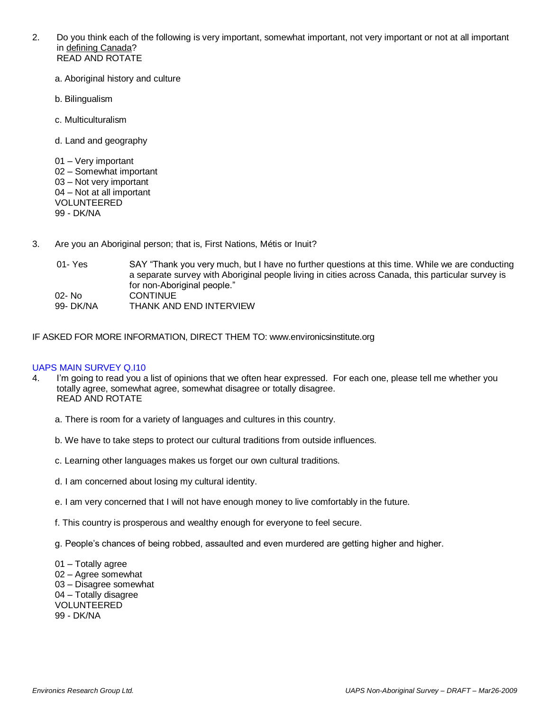- 2. Do you think each of the following is very important, somewhat important, not very important or not at all important in defining Canada? READ AND ROTATE
	- a. Aboriginal history and culture
	- b. Bilingualism
	- c. Multiculturalism
	- d. Land and geography

01 – Very important 02 – Somewhat important 03 – Not very important 04 – Not at all important VOLUNTEERED 99 - DK/NA

- 3. Are you an Aboriginal person; that is, First Nations, Métis or Inuit?
	- 01- Yes SAY "Thank you very much, but I have no further questions at this time. While we are conducting a separate survey with Aboriginal people living in cities across Canada, this particular survey is for non-Aboriginal people." 02- No CONTINUE 99- DK/NA THANK AND END INTERVIEW

IF ASKED FOR MORE INFORMATION, DIRECT THEM TO: www.environicsinstitute.org

## UAPS MAIN SURVEY Q.I10

- 4. I'm going to read you a list of opinions that we often hear expressed. For each one, please tell me whether you totally agree, somewhat agree, somewhat disagree or totally disagree. READ AND ROTATE
	- a. There is room for a variety of languages and cultures in this country.
	- b. We have to take steps to protect our cultural traditions from outside influences.
	- c. Learning other languages makes us forget our own cultural traditions.
	- d. I am concerned about losing my cultural identity.
	- e. I am very concerned that I will not have enough money to live comfortably in the future.
	- f. This country is prosperous and wealthy enough for everyone to feel secure.
	- g. People's chances of being robbed, assaulted and even murdered are getting higher and higher.
	- 01 Totally agree 02 – Agree somewhat 03 – Disagree somewhat 04 – Totally disagree VOLUNTEERED 99 - DK/NA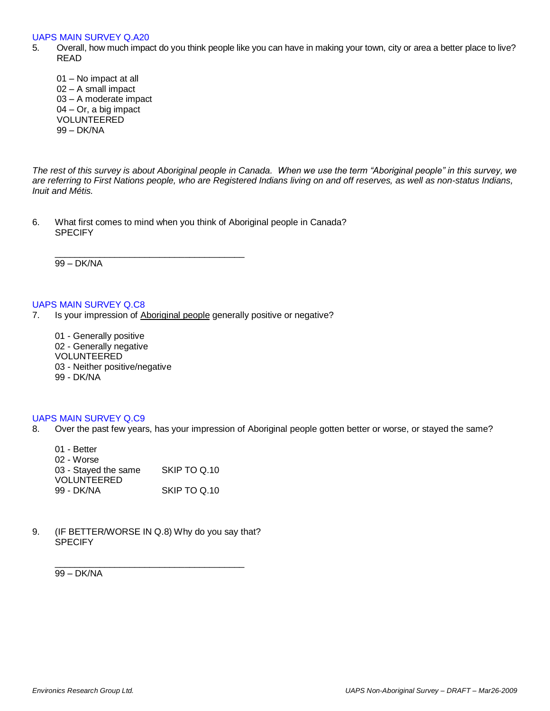#### UAPS MAIN SURVEY Q.A20

- 5. Overall, how much impact do you think people like you can have in making your town, city or area a better place to live? READ
	- 01 No impact at all 02 – A small impact 03 – A moderate impact 04 – Or, a big impact VOLUNTEERED 99 – DK/NA

*The rest of this survey is about Aboriginal people in Canada. When we use the term "Aboriginal people" in this survey, we are referring to First Nations people, who are Registered Indians living on and off reserves, as well as non-status Indians, Inuit and Métis.* 

6. What first comes to mind when you think of Aboriginal people in Canada? **SPECIFY** 

\_\_\_\_\_\_\_\_\_\_\_\_\_\_\_\_\_\_\_\_\_\_\_\_\_\_\_\_\_\_\_\_\_\_\_\_\_\_

99 – DK/NA

## UAPS MAIN SURVEY Q.C8

7. Is your impression of Aboriginal people generally positive or negative?

01 - Generally positive

- 02 Generally negative
- VOLUNTEERED
- 03 Neither positive/negative
- 99 DK/NA

## UAPS MAIN SURVEY Q.C9

8. Over the past few years, has your impression of Aboriginal people gotten better or worse, or stayed the same?

| 01 - Better          |              |
|----------------------|--------------|
| 02 - Worse           |              |
| 03 - Stayed the same | SKIP TO Q.10 |
| VOLUNTEERED          |              |
| 99 - DK/NA           | SKIP TO Q.10 |

9. (IF BETTER/WORSE IN Q.8) Why do you say that? **SPECIFY** 

\_\_\_\_\_\_\_\_\_\_\_\_\_\_\_\_\_\_\_\_\_\_\_\_\_\_\_\_\_\_\_\_\_\_\_\_\_\_

99 – DK/NA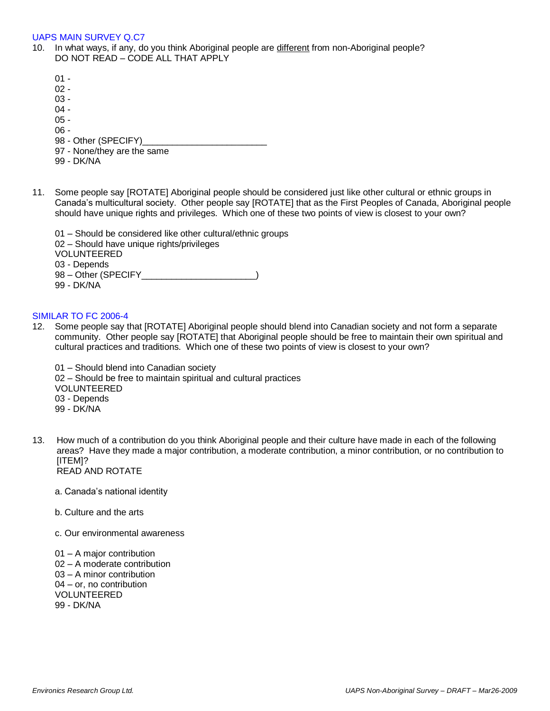### UAPS MAIN SURVEY Q.C7

- 10. In what ways, if any, do you think Aboriginal people are different from non-Aboriginal people? DO NOT READ – CODE ALL THAT APPLY
	- $01 -$
	- 02 -
	- 03 -
	- $04 -$
	- $05 -$
	- 06 -
	- 98 Other (SPECIFY)\_
	- 97 None/they are the same
	- 99 DK/NA
- 11. Some people say [ROTATE] Aboriginal people should be considered just like other cultural or ethnic groups in Canada's multicultural society. Other people say [ROTATE] that as the First Peoples of Canada, Aboriginal people should have unique rights and privileges. Which one of these two points of view is closest to your own?

01 – Should be considered like other cultural/ethnic groups 02 – Should have unique rights/privileges VOLUNTEERED 03 - Depends 98 – Other (SPECIFY \_\_\_\_\_\_\_\_\_\_\_\_\_\_\_\_\_\_\_\_\_\_) 99 - DK/NA

## SIMILAR TO FC 2006-4

- 12. Some people say that [ROTATE] Aboriginal people should blend into Canadian society and not form a separate community. Other people say [ROTATE] that Aboriginal people should be free to maintain their own spiritual and cultural practices and traditions. Which one of these two points of view is closest to your own?
	- 01 Should blend into Canadian society 02 – Should be free to maintain spiritual and cultural practices VOLUNTEERED 03 - Depends 99 - DK/NA
- 13. How much of a contribution do you think Aboriginal people and their culture have made in each of the following areas? Have they made a major contribution, a moderate contribution, a minor contribution, or no contribution to [ITEM]? READ AND ROTATE
	- a. Canada's national identity
	- b. Culture and the arts
	- c. Our environmental awareness

01 – A major contribution 02 – A moderate contribution 03 – A minor contribution 04 – or, no contribution VOLUNTEERED 99 - DK/NA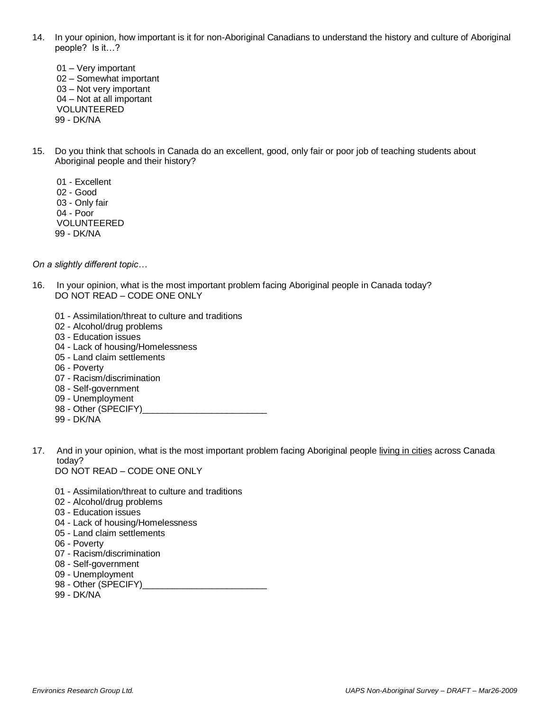- 14. In your opinion, how important is it for non-Aboriginal Canadians to understand the history and culture of Aboriginal people? Is it…?
	- 01 Very important 02 – Somewhat important 03 – Not very important 04 – Not at all important VOLUNTEERED 99 - DK/NA
- 15. Do you think that schools in Canada do an excellent, good, only fair or poor job of teaching students about Aboriginal people and their history?
	- 01 Excellent 02 - Good 03 - Only fair 04 - Poor VOLUNTEERED 99 - DK/NA

*On a slightly different topic…*

- 16. In your opinion, what is the most important problem facing Aboriginal people in Canada today? DO NOT READ – CODE ONE ONLY
	- 01 Assimilation/threat to culture and traditions
	- 02 Alcohol/drug problems
	- 03 Education issues
	- 04 Lack of housing/Homelessness
	- 05 Land claim settlements
	- 06 Poverty
	- 07 Racism/discrimination
	- 08 Self-government
	- 09 Unemployment
	- 98 Other (SPECIFY)
	- 99 DK/NA
- 17. And in your opinion, what is the most important problem facing Aboriginal people living in cities across Canada today?

DO NOT READ – CODE ONE ONLY

- 01 Assimilation/threat to culture and traditions
- 02 Alcohol/drug problems
- 03 Education issues
- 04 Lack of housing/Homelessness
- 05 Land claim settlements
- 06 Poverty
- 07 Racism/discrimination
- 08 Self-government
- 09 Unemployment
- 98 Other (SPECIFY)
- 99 DK/NA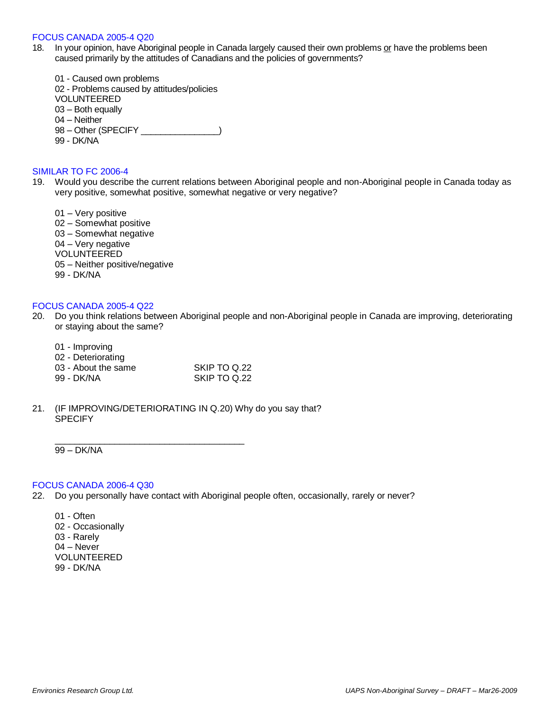#### FOCUS CANADA 2005-4 Q20

- 18. In your opinion, have Aboriginal people in Canada largely caused their own problems or have the problems been caused primarily by the attitudes of Canadians and the policies of governments?
	- 01 Caused own problems 02 - Problems caused by attitudes/policies VOLUNTEERED 03 – Both equally 04 – Neither 98 – Other (SPECIFY \_\_\_\_\_\_\_\_\_\_\_\_\_\_\_\_) 99 - DK/NA

#### SIMILAR TO FC 2006-4

19. Would you describe the current relations between Aboriginal people and non-Aboriginal people in Canada today as very positive, somewhat positive, somewhat negative or very negative?

01 – Very positive 02 – Somewhat positive 03 – Somewhat negative 04 – Very negative VOLUNTEERED 05 – Neither positive/negative 99 - DK/NA

## FOCUS CANADA 2005-4 Q22

- 20. Do you think relations between Aboriginal people and non-Aboriginal people in Canada are improving, deteriorating or staying about the same?
	- 01 Improving
	- 02 Deteriorating
	- 03 About the same SKIP TO Q.22
	- 99 DK/NA SKIP TO Q.22

\_\_\_\_\_\_\_\_\_\_\_\_\_\_\_\_\_\_\_\_\_\_\_\_\_\_\_\_\_\_\_\_\_\_\_\_\_\_

21. (IF IMPROVING/DETERIORATING IN Q.20) Why do you say that? **SPECIFY** 

99 – DK/NA

#### FOCUS CANADA 2006-4 Q30

- 22. Do you personally have contact with Aboriginal people often, occasionally, rarely or never?
	- 01 Often 02 - Occasionally 03 - Rarely 04 – Never VOLUNTEERED 99 - DK/NA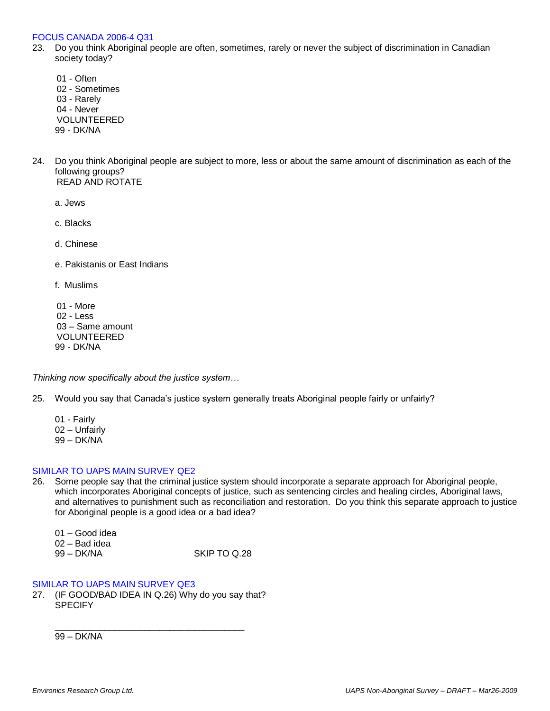#### FOCUS CANADA 2006-4 Q31

- 23. Do you think Aboriginal people are often, sometimes, rarely or never the subject of discrimination in Canadian society today?
	- 01 Often 02 - Sometimes 03 - Rarely 04 - Never VOLUNTEERED 99 - DK/NA
- 24. Do you think Aboriginal people are subject to more, less or about the same amount of discrimination as each of the following groups? READ AND ROTATE

a. Jews

c. Blacks

d. Chinese

e. Pakistanis or East Indians

f. Muslims

01 - More 02 - Less 03 – Same amount VOLUNTEERED 99 - DK/NA

*Thinking now specifically about the justice system…*

25. Would you say that Canada's justice system generally treats Aboriginal people fairly or unfairly?

01 - Fairly 02 – Unfairly 99 – DK/NA

## SIMILAR TO UAPS MAIN SURVEY QE2

26. Some people say that the criminal justice system should incorporate a separate approach for Aboriginal people, which incorporates Aboriginal concepts of justice, such as sentencing circles and healing circles, Aboriginal laws, and alternatives to punishment such as reconciliation and restoration. Do you think this separate approach to justice for Aboriginal people is a good idea or a bad idea?

01 – Good idea

02 – Bad idea

| 99 – DK/NA | SKIP TO Q.28 |
|------------|--------------|
|            |              |

## SIMILAR TO UAPS MAIN SURVEY QE3

27. (IF GOOD/BAD IDEA IN Q.26) Why do you say that? **SPECIFY** 

\_\_\_\_\_\_\_\_\_\_\_\_\_\_\_\_\_\_\_\_\_\_\_\_\_\_\_\_\_\_\_\_\_\_\_\_\_\_

99 – DK/NA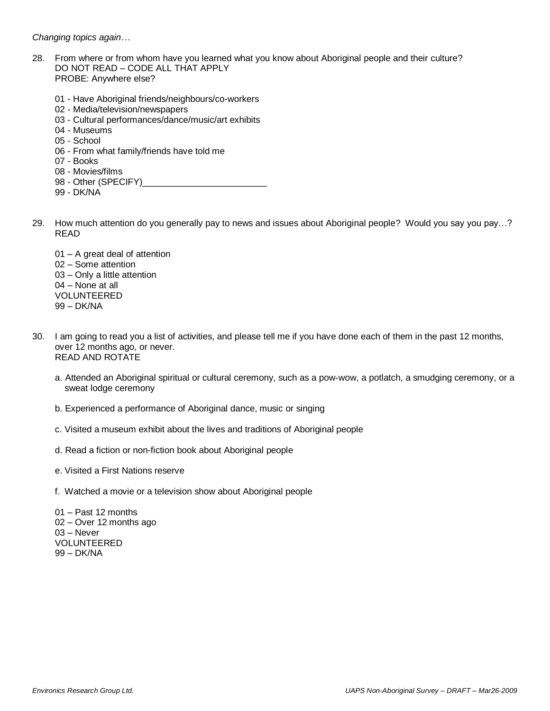*Changing topics again…*

- 28. From where or from whom have you learned what you know about Aboriginal people and their culture? DO NOT READ – CODE ALL THAT APPLY PROBE: Anywhere else?
	- 01 Have Aboriginal friends/neighbours/co-workers
	- 02 Media/television/newspapers
	- 03 Cultural performances/dance/music/art exhibits
	- 04 Museums
	- 05 School
	- 06 From what family/friends have told me
	- 07 Books
	- 08 Movies/films
	- 98 Other (SPECIFY)
	- 99 DK/NA
- 29. How much attention do you generally pay to news and issues about Aboriginal people? Would you say you pay…? READ
	- 01 A great deal of attention 02 – Some attention 03 – Only a little attention 04 – None at all VOLUNTEERED 99 – DK/NA
- 30. I am going to read you a list of activities, and please tell me if you have done each of them in the past 12 months, over 12 months ago, or never. READ AND ROTATE
	- a. Attended an Aboriginal spiritual or cultural ceremony, such as a pow-wow, a potlatch, a smudging ceremony, or a sweat lodge ceremony
	- b. Experienced a performance of Aboriginal dance, music or singing
	- c. Visited a museum exhibit about the lives and traditions of Aboriginal people
	- d. Read a fiction or non-fiction book about Aboriginal people
	- e. Visited a First Nations reserve
	- f. Watched a movie or a television show about Aboriginal people

01 – Past 12 months 02 – Over 12 months ago 03 – Never VOLUNTEERED 99 – DK/NA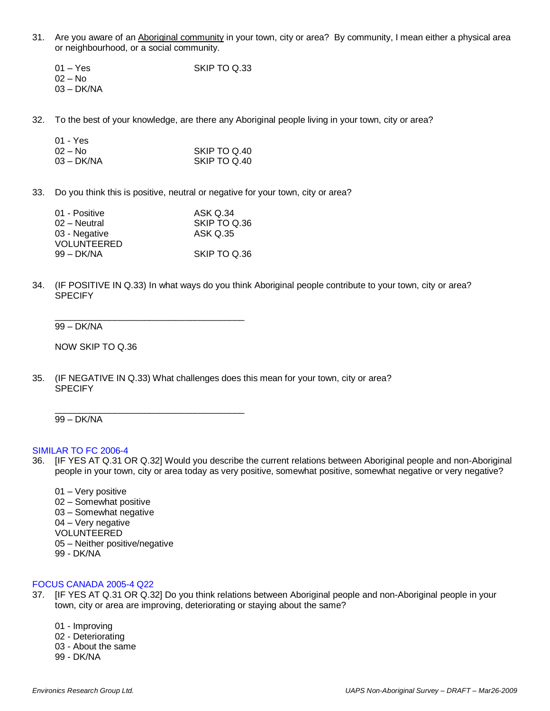- 31. Are you aware of an Aboriginal community in your town, city or area? By community, I mean either a physical area or neighbourhood, or a social community.
	- 01 Yes SKIP TO Q.33 02 – No 03 – DK/NA
- 32. To the best of your knowledge, are there any Aboriginal people living in your town, city or area?

| 01 - Yes   |              |
|------------|--------------|
| 02 – No    | SKIP TO Q.40 |
| 03 – DK/NA | SKIP TO Q.40 |

33. Do you think this is positive, neutral or negative for your town, city or area?

| 01 - Positive | ASK Q.34     |
|---------------|--------------|
| 02 – Neutral  | SKIP TO Q.36 |
| 03 - Negative | ASK Q.35     |
| VOLUNTEERED   |              |
| 99 – DK/NA    | SKIP TO Q.36 |

\_\_\_\_\_\_\_\_\_\_\_\_\_\_\_\_\_\_\_\_\_\_\_\_\_\_\_\_\_\_\_\_\_\_\_\_\_\_

\_\_\_\_\_\_\_\_\_\_\_\_\_\_\_\_\_\_\_\_\_\_\_\_\_\_\_\_\_\_\_\_\_\_\_\_\_\_

34. (IF POSITIVE IN Q.33) In what ways do you think Aboriginal people contribute to your town, city or area? **SPECIFY** 

99 – DK/NA

 $\overline{a}$   $\overline{b}$   $\overline{c}$ 

NOW SKIP TO Q.36

35. (IF NEGATIVE IN Q.33) What challenges does this mean for your town, city or area? **SPECIFY** 

99 – DK/NA

#### SIMILAR TO FC 2006-4

- 36. [IF YES AT Q.31 OR Q.32] Would you describe the current relations between Aboriginal people and non-Aboriginal people in your town, city or area today as very positive, somewhat positive, somewhat negative or very negative?
	- 01 Very positive
	- 02 Somewhat positive
	- 03 Somewhat negative
	- 04 Very negative
	- VOLUNTEERED
	- 05 Neither positive/negative
	- 99 DK/NA

## FOCUS CANADA 2005-4 Q22

- 37. [IF YES AT Q.31 OR Q.32] Do you think relations between Aboriginal people and non-Aboriginal people in your town, city or area are improving, deteriorating or staying about the same?
	- 01 Improving
	- 02 Deteriorating
	- 03 About the same
	- 99 DK/NA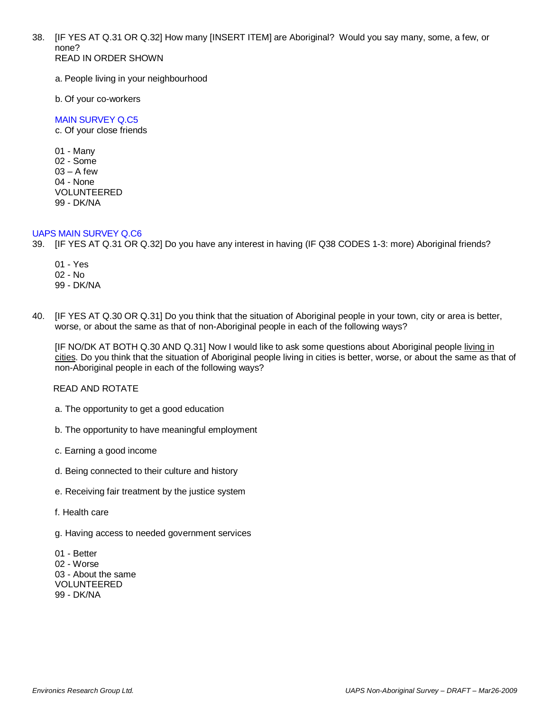38. [IF YES AT Q.31 OR Q.32] How many [INSERT ITEM] are Aboriginal? Would you say many, some, a few, or none? READ IN ORDER SHOWN

a. People living in your neighbourhood

b. Of your co-workers

MAIN SURVEY Q.C5 c. Of your close friends

01 - Many 02 - Some  $03 - A$  few 04 - None VOLUNTEERED 99 - DK/NA

## UAPS MAIN SURVEY Q.C6

- 39. [IF YES AT Q.31 OR Q.32] Do you have any interest in having (IF Q38 CODES 1-3: more) Aboriginal friends?
	- 01 Yes 02 - No 99 - DK/NA
- 40. [IF YES AT Q.30 OR Q.31] Do you think that the situation of Aboriginal people in your town, city or area is better, worse, or about the same as that of non-Aboriginal people in each of the following ways?

[IF NO/DK AT BOTH Q.30 AND Q.31] Now I would like to ask some questions about Aboriginal people living in cities. Do you think that the situation of Aboriginal people living in cities is better, worse, or about the same as that of non-Aboriginal people in each of the following ways?

READ AND ROTATE

- a. The opportunity to get a good education
- b. The opportunity to have meaningful employment
- c. Earning a good income
- d. Being connected to their culture and history
- e. Receiving fair treatment by the justice system
- f. Health care
- g. Having access to needed government services

01 - Better 02 - Worse 03 - About the same VOLUNTEERED 99 - DK/NA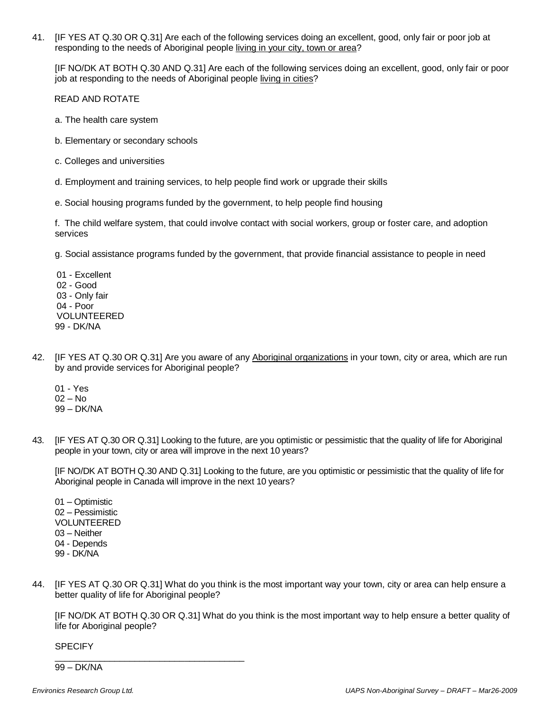41. [IF YES AT Q.30 OR Q.31] Are each of the following services doing an excellent, good, only fair or poor job at responding to the needs of Aboriginal people living in your city, town or area?

[IF NO/DK AT BOTH Q.30 AND Q.31] Are each of the following services doing an excellent, good, only fair or poor job at responding to the needs of Aboriginal people living in cities?

READ AND ROTATE

- a. The health care system
- b. Elementary or secondary schools
- c. Colleges and universities
- d. Employment and training services, to help people find work or upgrade their skills
- e. Social housing programs funded by the government, to help people find housing

f. The child welfare system, that could involve contact with social workers, group or foster care, and adoption services

g. Social assistance programs funded by the government, that provide financial assistance to people in need

01 - Excellent 02 - Good 03 - Only fair 04 - Poor VOLUNTEERED 99 - DK/NA

- 42. [IF YES AT Q.30 OR Q.31] Are you aware of any Aboriginal organizations in your town, city or area, which are run by and provide services for Aboriginal people?
	- 01 Yes
	- 02 No
	- 99 DK/NA
- 43. [IF YES AT Q.30 OR Q.31] Looking to the future, are you optimistic or pessimistic that the quality of life for Aboriginal people in your town, city or area will improve in the next 10 years?

[IF NO/DK AT BOTH Q.30 AND Q.31] Looking to the future, are you optimistic or pessimistic that the quality of life for Aboriginal people in Canada will improve in the next 10 years?

01 – Optimistic 02 – Pessimistic VOLUNTEERED 03 – Neither 04 - Depends 99 - DK/NA

44. [IF YES AT Q.30 OR Q.31] What do you think is the most important way your town, city or area can help ensure a better quality of life for Aboriginal people?

[IF NO/DK AT BOTH Q.30 OR Q.31] What do you think is the most important way to help ensure a better quality of life for Aboriginal people?

**SPECIFY** 

99 – DK/NA

\_\_\_\_\_\_\_\_\_\_\_\_\_\_\_\_\_\_\_\_\_\_\_\_\_\_\_\_\_\_\_\_\_\_\_\_\_\_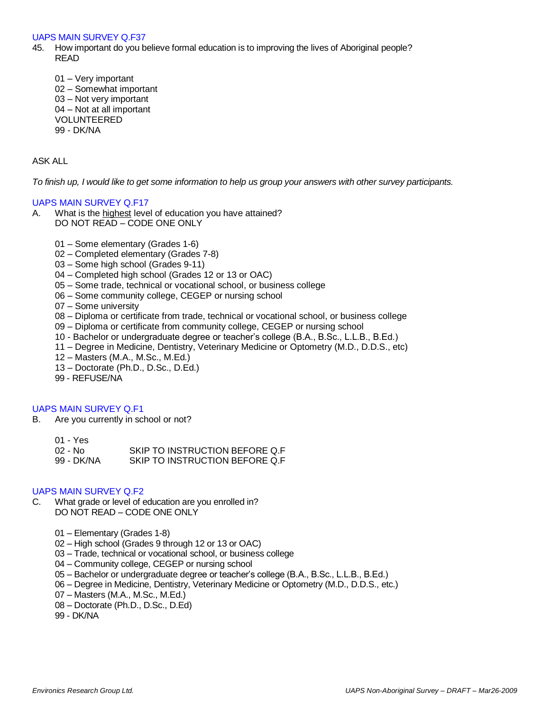#### UAPS MAIN SURVEY Q.F37

- 45. How important do you believe formal education is to improving the lives of Aboriginal people? READ
	- 01 Very important 02 – Somewhat important 03 – Not very important 04 – Not at all important VOLUNTEERED 99 - DK/NA

### ASK ALL

*To finish up, I would like to get some information to help us group your answers with other survey participants.*

#### UAPS MAIN SURVEY Q.F17

- A. What is the highest level of education you have attained? DO NOT READ – CODE ONE ONLY
	- 01 Some elementary (Grades 1-6)
	- 02 Completed elementary (Grades 7-8)
	- 03 Some high school (Grades 9-11)
	- 04 Completed high school (Grades 12 or 13 or OAC)
	- 05 Some trade, technical or vocational school, or business college
	- 06 Some community college, CEGEP or nursing school
	- 07 Some university
	- 08 Diploma or certificate from trade, technical or vocational school, or business college
	- 09 Diploma or certificate from community college, CEGEP or nursing school
	- 10 Bachelor or undergraduate degree or teacher's college (B.A., B.Sc., L.L.B., B.Ed.)
	- 11 Degree in Medicine, Dentistry, Veterinary Medicine or Optometry (M.D., D.D.S., etc)
	- 12 Masters (M.A., M.Sc., M.Ed.)
	- 13 Doctorate (Ph.D., D.Sc., D.Ed.)
	- 99 REFUSE/NA

## UAPS MAIN SURVEY Q.F1

- B. Are you currently in school or not?
	- 01 Yes
	- 02 No SKIP TO INSTRUCTION BEFORE Q.F
	- 99 DK/NA SKIP TO INSTRUCTION BEFORE Q.F

#### UAPS MAIN SURVEY Q.F2

- C. What grade or level of education are you enrolled in? DO NOT READ – CODE ONE ONLY
	- 01 Elementary (Grades 1-8)
	- 02 High school (Grades 9 through 12 or 13 or OAC)
	- 03 Trade, technical or vocational school, or business college
	- 04 Community college, CEGEP or nursing school
	- 05 Bachelor or undergraduate degree or teacher's college (B.A., B.Sc., L.L.B., B.Ed.)
	- 06 Degree in Medicine, Dentistry, Veterinary Medicine or Optometry (M.D., D.D.S., etc.)
	- 07 Masters (M.A., M.Sc., M.Ed.)
	- 08 Doctorate (Ph.D., D.Sc., D.Ed)
	- 99 DK/NA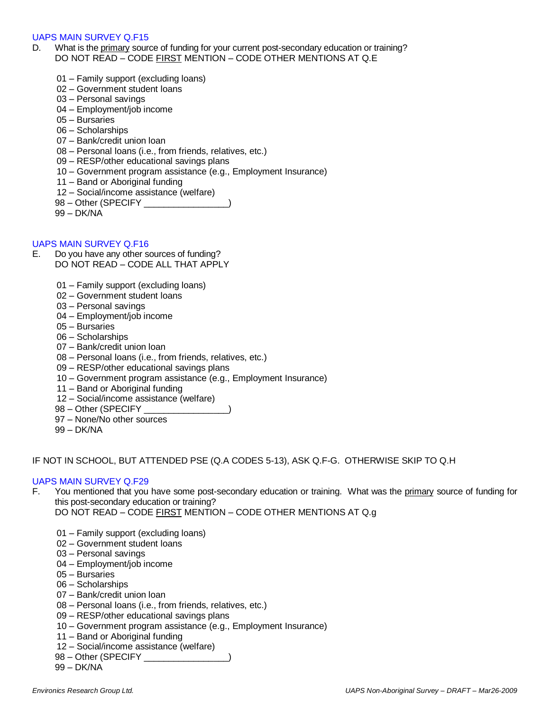## UAPS MAIN SURVEY Q.F15

- D. What is the *primary* source of funding for your current post-secondary education or training? DO NOT READ – CODE FIRST MENTION – CODE OTHER MENTIONS AT Q.E
	- 01 Family support (excluding loans)
	- 02 Government student loans
	- 03 Personal savings
	- 04 Employment/job income
	- 05 Bursaries
	- 06 Scholarships
	- 07 Bank/credit union loan
	- 08 Personal loans (i.e., from friends, relatives, etc.)
	- 09 RESP/other educational savings plans
	- 10 Government program assistance (e.g., Employment Insurance)
	- 11 Band or Aboriginal funding
	- 12 Social/income assistance (welfare)
	- 98 Other (SPECIFY \_\_\_\_\_\_\_\_\_\_\_\_\_\_\_\_\_
	- 99 DK/NA

## UAPS MAIN SURVEY Q.F16

- E. Do you have any other sources of funding? DO NOT READ – CODE ALL THAT APPLY
	- 01 Family support (excluding loans)
	- 02 Government student loans
	- 03 Personal savings
	- 04 Employment/job income
	- 05 Bursaries
	- 06 Scholarships
	- 07 Bank/credit union loan
	- 08 Personal loans (i.e., from friends, relatives, etc.)
	- 09 RESP/other educational savings plans
	- 10 Government program assistance (e.g., Employment Insurance)
	- 11 Band or Aboriginal funding
	- 12 Social/income assistance (welfare)
	- 98 Other (SPECIFY \_\_\_\_\_\_\_\_\_\_\_
	- 97 None/No other sources
	- 99 DK/NA

#### IF NOT IN SCHOOL, BUT ATTENDED PSE (Q.A CODES 5-13), ASK Q.F-G. OTHERWISE SKIP TO Q.H

#### UAPS MAIN SURVEY Q.F29

- F. You mentioned that you have some post-secondary education or training. What was the primary source of funding for this post-secondary education or training?
	- DO NOT READ CODE FIRST MENTION CODE OTHER MENTIONS AT Q.g
	- 01 Family support (excluding loans)
	- 02 Government student loans
	- 03 Personal savings
	- 04 Employment/job income
	- 05 Bursaries
	- 06 Scholarships
	- 07 Bank/credit union loan
	- 08 Personal loans (i.e., from friends, relatives, etc.)
	- 09 RESP/other educational savings plans
	- 10 Government program assistance (e.g., Employment Insurance)
	- 11 Band or Aboriginal funding
	- 12 Social/income assistance (welfare)
	- 98 Other (SPECIFY \_\_\_\_\_\_\_\_\_\_\_\_\_\_\_\_
	- 99 DK/NA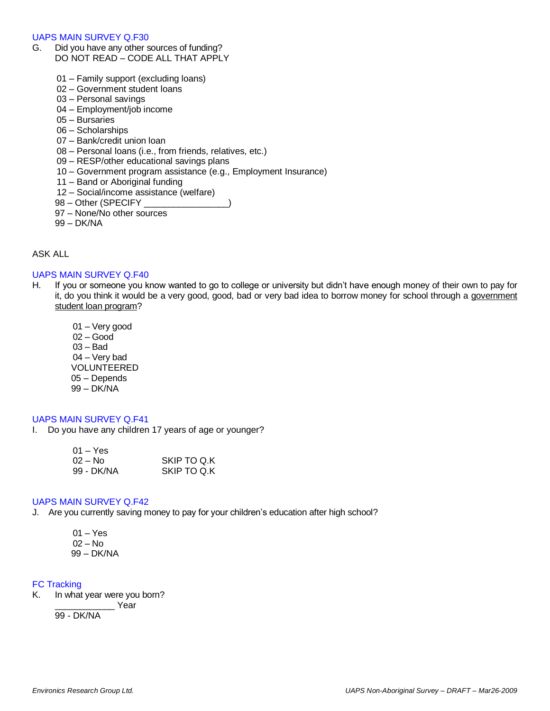#### UAPS MAIN SURVEY Q.F30

- G. Did you have any other sources of funding? DO NOT READ – CODE ALL THAT APPLY
	- 01 Family support (excluding loans)
	- 02 Government student loans
	- 03 Personal savings
	- 04 Employment/job income
	- 05 Bursaries
	- 06 Scholarships
	- 07 Bank/credit union loan
	- 08 Personal loans (i.e., from friends, relatives, etc.)
	- 09 RESP/other educational savings plans
	- 10 Government program assistance (e.g., Employment Insurance)
	- 11 Band or Aboriginal funding
	- 12 Social/income assistance (welfare)
	- 98 Other (SPECIFY \_\_\_\_\_\_\_\_\_\_\_
	- 97 None/No other sources
	- 99 DK/NA

## ASK ALL

## UAPS MAIN SURVEY Q.F40

- H. If you or someone you know wanted to go to college or university but didn't have enough money of their own to pay for it, do you think it would be a very good, good, bad or very bad idea to borrow money for school through a government student loan program?
	- 01 Very good 02 – Good 03 – Bad 04 – Very bad VOLUNTEERED 05 – Depends 99 – DK/NA

## UAPS MAIN SURVEY Q.F41

I. Do you have any children 17 years of age or younger?

| $01 - Yes$ |             |
|------------|-------------|
| $02 - No$  | SKIP TO Q.K |
| 99 - DK/NA | SKIP TO Q.K |

### UAPS MAIN SURVEY Q.F42

- J. Are you currently saving money to pay for your children's education after high school?
	- 01 Yes 02 – No
	- 99 DK/NA

## FC Tracking

K. In what year were you born?

Year

99 - DK/NA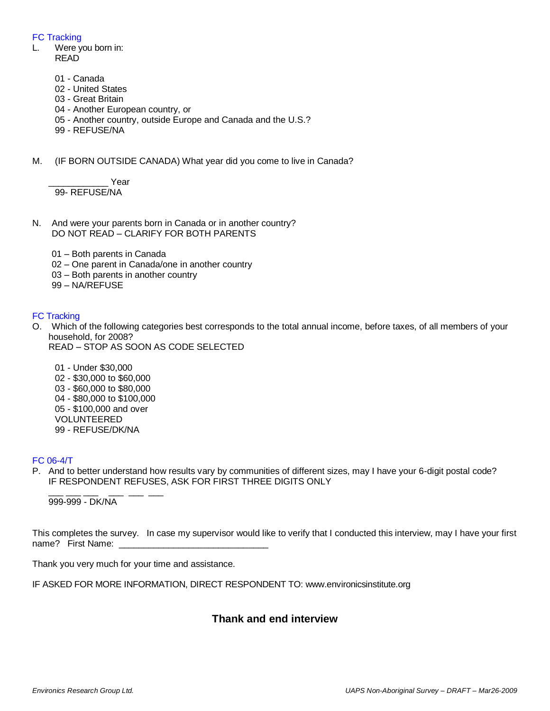## FC Tracking

- L. Were you born in: READ
	- 01 Canada
	- 02 United States
	- 03 Great Britain
	- 04 Another European country, or
	- 05 Another country, outside Europe and Canada and the U.S.?
	- 99 REFUSE/NA
- M. (IF BORN OUTSIDE CANADA) What year did you come to live in Canada?

Year 99- REFUSE/NA

- N. And were your parents born in Canada or in another country? DO NOT READ – CLARIFY FOR BOTH PARENTS
	- 01 Both parents in Canada
	- 02 One parent in Canada/one in another country
	- 03 Both parents in another country
	- 99 NA/REFUSE

## FC Tracking

- O. Which of the following categories best corresponds to the total annual income, before taxes, of all members of your household, for 2008?
	- READ STOP AS SOON AS CODE SELECTED
		- 01 Under \$30,000 02 - \$30,000 to \$60,000 03 - \$60,000 to \$80,000 04 - \$80,000 to \$100,000 05 - \$100,000 and over VOLUNTEERED 99 - REFUSE/DK/NA

## FC 06-4/T

P. And to better understand how results vary by communities of different sizes, may I have your 6-digit postal code? IF RESPONDENT REFUSES, ASK FOR FIRST THREE DIGITS ONLY

\_\_\_\_ \_\_\_ \_\_\_ \_\_\_ \_\_\_ \_\_\_ 999-999 - DK/NA

This completes the survey. In case my supervisor would like to verify that I conducted this interview, may I have your first name? First Name:

Thank you very much for your time and assistance.

IF ASKED FOR MORE INFORMATION, DIRECT RESPONDENT TO: www.environicsinstitute.org

# **Thank and end interview**